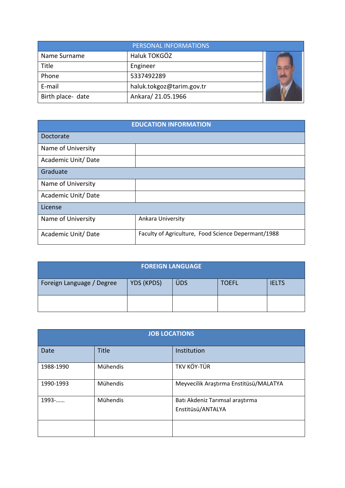| PERSONAL INFORMATIONS |                           |  |  |
|-----------------------|---------------------------|--|--|
| Name Surname          | Haluk TOKGÖZ              |  |  |
| Title                 | Engineer                  |  |  |
| Phone                 | 5337492289                |  |  |
| E-mail                | haluk.tokgoz@tarim.gov.tr |  |  |
| Birth place- date     | Ankara/ 21.05.1966        |  |  |

| <b>EDUCATION INFORMATION</b> |                                                     |  |  |  |
|------------------------------|-----------------------------------------------------|--|--|--|
| Doctorate                    |                                                     |  |  |  |
| Name of University           |                                                     |  |  |  |
| Academic Unit/Date           |                                                     |  |  |  |
| Graduate                     |                                                     |  |  |  |
| Name of University           |                                                     |  |  |  |
| Academic Unit/Date           |                                                     |  |  |  |
| License                      |                                                     |  |  |  |
| Name of University           | Ankara University                                   |  |  |  |
| Academic Unit/Date           | Faculty of Agriculture, Food Science Depermant/1988 |  |  |  |

| <b>FOREIGN LANGUAGE</b>   |            |     |              |              |  |
|---------------------------|------------|-----|--------------|--------------|--|
| Foreign Language / Degree | YDS (KPDS) | ÜDS | <b>TOEFL</b> | <b>IELTS</b> |  |
|                           |            |     |              |              |  |

| <b>JOB LOCATIONS</b> |              |                                                      |  |  |
|----------------------|--------------|------------------------------------------------------|--|--|
| Date                 | <b>Title</b> | Institution                                          |  |  |
| 1988-1990            | Mühendis     | TKV KÖY-TÜR                                          |  |  |
| 1990-1993            | Mühendis     | Meyvecilik Araştırma Enstitüsü/MALATYA               |  |  |
| 1993-                | Mühendis     | Batı Akdeniz Tarımsal araştırma<br>Enstitüsü/ANTALYA |  |  |
|                      |              |                                                      |  |  |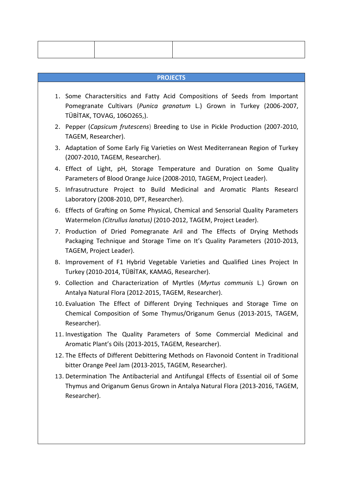#### **PROJECTS**

- 1. Some Charactersitics and Fatty Acid Compositions of Seeds from Important Pomegranate Cultivars (*Punica granatum* L.) Grown in Turkey (2006-2007, TÜBİTAK, TOVAG, 106O265,).
- 2. Pepper (*Capsicum frutescens*) Breeding to Use in Pickle Production (2007-2010, TAGEM, Researcher).
- 3. Adaptation of Some Early Fig Varieties on West Mediterranean Region of Turkey (2007-2010, TAGEM, Researcher).
- 4. Effect of Light, pH, Storage Temperature and Duration on Some Quality Parameters of Blood Orange Juice (2008-2010, TAGEM, Project Leader).
- 5. Infrasutructure Project to Build Medicinal and Aromatic Plants Researcl Laboratory (2008-2010, DPT, Researcher).
- 6. Effects of Grafting on Some Physical, Chemical and Sensorial Quality Parameters Watermelon *(Citrullus lanatus)* (2010-2012, TAGEM, Project Leader).
- 7. Production of Dried Pomegranate Aril and The Effects of Drying Methods Packaging Technique and Storage Time on It's Quality Parameters (2010-2013, TAGEM, Project Leader).
- 8. Improvement of F1 Hybrid Vegetable Varieties and Qualified Lines Project In Turkey (2010-2014, TÜBİTAK, KAMAG, Researcher).
- 9. Collection and Characterization of Myrtles (*Myrtus communis* L.) Grown on Antalya Natural Flora (2012-2015, TAGEM, Researcher).
- 10. Evaluation The Effect of Different Drying Techniques and Storage Time on Chemical Composition of Some Thymus/Origanum Genus (2013-2015, TAGEM, Researcher).
- 11. Investigation The Quality Parameters of Some Commercial Medicinal and Aromatic Plant's Oils (2013-2015, TAGEM, Researcher).
- 12. The Effects of Different Debittering Methods on Flavonoid Content in Traditional bitter Orange Peel Jam (2013-2015, TAGEM, Researcher).
- 13. Determination The Antibacterial and Antifungal Effects of Essential oil of Some Thymus and Origanum Genus Grown in Antalya Natural Flora (2013-2016, TAGEM, Researcher).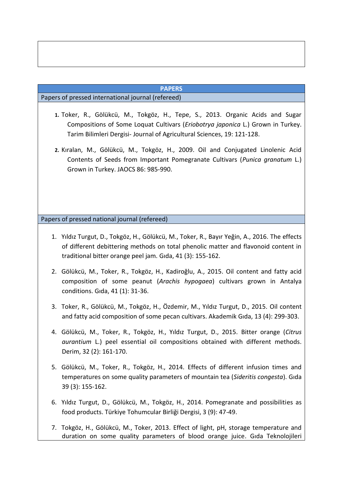# **PAPERS**

# Papers of pressed international journal (refereed)

- **1.** Toker, R., Gölükcü, M., Tokgöz, H., Tepe, S., 2013. Organic Acids and Sugar Compositions of Some Loquat Cultivars (*Eriobotrya japonica* L.) Grown in Turkey. Tarim Bilimleri Dergisi- Journal of Agricultural Sciences, 19: 121-128.
- **2.** Kıralan, M., Gölükcü, M., Tokgöz, H., 2009. Oil and Conjugated Linolenic Acid Contents of Seeds from Important Pomegranate Cultivars (*Punica granatum* L.) Grown in Turkey. JAOCS 86: 985-990.

Papers of pressed national journal (refereed)

- 1. Yıldız Turgut, D., Tokgöz, H., Gölükcü, M., Toker, R., Bayır Yeğin, A., 2016. The effects of different debittering methods on total phenolic matter and flavonoid content in traditional bitter orange peel jam. Gıda, 41 (3): 155-162.
- 2. Gölükcü, M., Toker, R., Tokgöz, H., Kadiroğlu, A., 2015. Oil content and fatty acid composition of some peanut (*Arachis hypogaea*) cultivars grown in Antalya conditions. Gıda, 41 (1): 31-36.
- 3. Toker, R., Gölükcü, M., Tokgöz, H., Özdemir, M., Yıldız Turgut, D., 2015. Oil content and fatty acid composition of some pecan cultivars. Akademik Gıda, 13 (4): 299-303.
- 4. Gölükcü, M., Toker, R., Tokgöz, H., Yıldız Turgut, D., 2015. Bitter orange (*Citrus aurantium* L.) peel essential oil compositions obtained with different methods. Derim, 32 (2): 161-170.
- 5. Gölükcü, M., Toker, R., Tokgöz, H., 2014. Effects of different infusion times and temperatures on some quality parameters of mountain tea (*Sideritis congesta*). Gıda 39 (3): 155-162.
- 6. Yıldız Turgut, D., Gölükcü, M., Tokgöz, H., 2014. Pomegranate and possibilities as food products. Türkiye Tohumcular Birliği Dergisi, 3 (9): 47-49.
- 7. Tokgöz, H., Gölükcü, M., Toker, 2013. Effect of light, pH, storage temperature and duration on some quality parameters of blood orange juice. Gıda Teknolojileri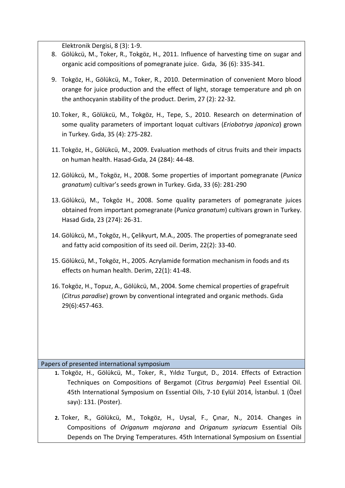Elektronik Dergisi, 8 (3): 1-9.

- 8. Gölükcü, M., Toker, R., Tokgöz, H., 2011. Influence of harvesting time on sugar and organic acid compositions of pomegranate juice. Gıda, 36 (6): 335-341.
- 9. Tokgöz, H., Gölükcü, M., Toker, R., 2010. Determination of convenient Moro blood orange for juice production and the effect of light, storage temperature and ph on the anthocyanin stability of the product. Derim, 27 (2): 22-32.
- 10. Toker, R., Gölükcü, M., Tokgöz, H., Tepe, S., 2010. Research on determination of some quality parameters of important loquat cultivars (*Eriobotrya japonica*) grown in Turkey. Gıda, 35 (4): 275-282.
- 11. Tokgöz, H., Gölükcü, M., 2009. Evaluation methods of citrus fruits and their impacts on human health. Hasad-Gıda, 24 (284): 44-48.
- 12. Gölükcü, M., Tokgöz, H., 2008. Some properties of important pomegranate (*Punica granatum*) cultivar's seeds grown in Turkey. Gıda, 33 (6): 281-290
- 13. Gölükcü, M., Tokgöz H., 2008. Some quality parameters of pomegranate juices obtained from important pomegranate (*Punica granatum*) cultivars grown in Turkey. Hasad Gıda, 23 (274): 26-31.
- 14. Gölükcü, M., Tokgöz, H., Çelikyurt, M.A., 2005. The properties of pomegranate seed and fatty acid composition of its seed oil. Derim, 22(2): 33-40.
- 15. Gölükcü, M., Tokgöz, H., 2005. Acrylamide formation mechanism in foods and ıts effects on human health. Derim, 22(1): 41-48.
- 16. Tokgöz, H., Topuz, A., Gölükcü, M., 2004. Some chemical properties of grapefruit (*Citrus paradise*) grown by conventional integrated and organic methods. Gıda 29(6):457-463.

# Papers of presented international symposium

- **1.** Tokgöz, H., Gölükcü, M., Toker, R., Yıldız Turgut, D., 2014. Effects of Extraction Techniques on Compositions of Bergamot (*Citrus bergamia*) Peel Essential Oil. 45th International Symposium on Essential Oils, 7-10 Eylül 2014, İstanbul. 1 (Özel sayı): 131. (Poster).
- **2.** Toker, R., Gölükcü, M., Tokgöz, H., Uysal, F., Çınar, N., 2014. Changes in Compositions of *Origanum majorana* and *Origanum syriacum* Essential Oils Depends on The Drying Temperatures. 45th International Symposium on Essential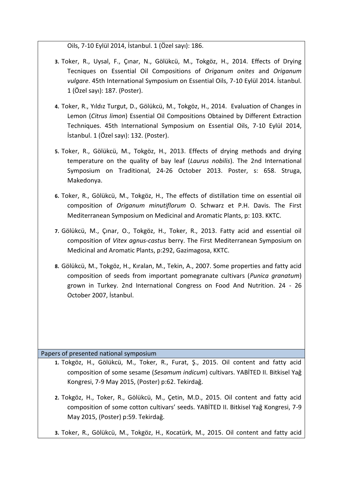Oils, 7-10 Eylül 2014, İstanbul. 1 (Özel sayı): 186.

- **3.** Toker, R., Uysal, F., Çınar, N., Gölükcü, M., Tokgöz, H., 2014. Effects of Drying Tecniques on Essential Oil Compositions of *Origanum onites* and *Origanum vulgare*. 45th International Symposium on Essential Oils, 7-10 Eylül 2014. İstanbul. 1 (Özel sayı): 187. (Poster).
- **4.** Toker, R., Yıldız Turgut, D., Gölükcü, M., Tokgöz, H., 2014. Evaluation of Changes in Lemon (*Citrus limon*) Essential Oil Compositions Obtained by Different Extraction Techniques. 45th International Symposium on Essential Oils, 7-10 Eylül 2014, İstanbul. 1 (Özel sayı): 132. (Poster).
- **5.** Toker, R., Gölükcü, M., Tokgöz, H., 2013. Effects of drying methods and drying temperature on the quality of bay leaf (*Laurus nobilis*). The 2nd International Symposium on Traditional, 24-26 October 2013. Poster, s: 658. Struga, Makedonya.
- **6.** Toker, R., Gölükcü, M., Tokgöz, H., The effects of distillation time on essential oil composition of *Origanum minutiflorum* O. Schwarz et P.H. Davis. The First Mediterranean Symposium on Medicinal and Aromatic Plants, p: 103. KKTC.
- **7.** Gölükcü, M., Çınar, O., Tokgöz, H., Toker, R., 2013. Fatty acid and essential oil composition of *Vitex agnus-castus* berry. The First Mediterranean Symposium on Medicinal and Aromatic Plants, p:292, Gazimagosa, KKTC.
- **8.** Gölükcü, M., Tokgöz, H., Kıralan, M., Tekin, A., 2007. Some properties and fatty acid composition of seeds from important pomegranate cultivars (*Punica granatum*) grown in Turkey. 2nd International Congress on Food And Nutrition. 24 - 26 October 2007, İstanbul.

Papers of presented national symposium

- **1.** Tokgöz, H., Gölükcü, M., Toker, R., Furat, Ş., 2015. Oil content and fatty acid composition of some sesame (*Sesamum indicum*) cultivars. YABİTED II. Bitkisel Yağ Kongresi, 7-9 May 2015, (Poster) p:62. Tekirdağ.
- **2.** Tokgöz, H., Toker, R., Gölükcü, M., Çetin, M.D., 2015. Oil content and fatty acid composition of some cotton cultivars' seeds. YABİTED II. Bitkisel Yağ Kongresi, 7-9 May 2015, (Poster) p:59. Tekirdağ.
- **3.** Toker, R., Gölükcü, M., Tokgöz, H., Kocatürk, M., 2015. Oil content and fatty acid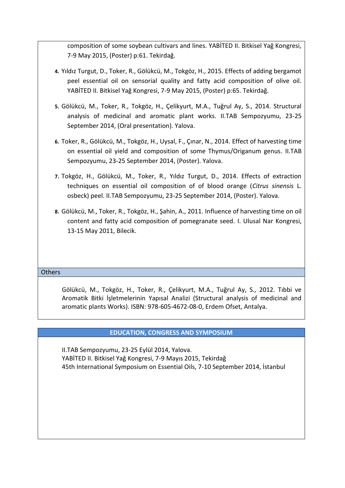composition of some soybean cultivars and lines. YABİTED II. Bitkisel Yağ Kongresi, 7-9 May 2015, (Poster) p:61. Tekirdağ.

- **4.** Yıldız Turgut, D., Toker, R., Gölükcü, M., Tokgöz, H., 2015. Effects of adding bergamot peel essential oil on sensorial quality and fatty acid composition of olive oil. YABİTED II. Bitkisel Yağ Kongresi, 7-9 May 2015, (Poster) p:65. Tekirdağ.
- **5.** Gölükcü, M., Toker, R., Tokgöz, H., Çelikyurt, M.A., Tuğrul Ay, S., 2014. Structural analysis of medicinal and aromatic plant works. II.TAB Sempozyumu, 23-25 September 2014, (Oral presentation). Yalova.
- **6.** Toker, R., Gölükcü, M., Tokgöz, H., Uysal, F., Çınar, N., 2014. Effect of harvesting time on essential oil yield and composition of some Thymus/Origanum genus. II.TAB Sempozyumu, 23-25 September 2014, (Poster). Yalova.
- **7.** Tokgöz, H., Gölükcü, M., Toker, R., Yıldız Turgut, D., 2014. Effects of extraction techniques on essential oil composition of of blood orange (*Citrus sinensis* L. osbeck) peel. II.TAB Sempozyumu, 23-25 September 2014, (Poster). Yalova.
- **8.** Gölükcü, M., Toker, R., Tokgöz, H., Şahin, A., 2011. Influence of harvesting time on oil content and fatty acid composition of pomegranate seed. I. Ulusal Nar Kongresi, 13-15 May 2011, Bilecik.

#### **Others**

Gölükcü, M., Tokgöz, H., Toker, R., Çelikyurt, M.A., Tuğrul Ay, S., 2012. Tıbbi ve Aromatik Bitki İşletmelerinin Yapısal Analizi (Structural analysis of medicinal and aromatic plants Works). ISBN: 978-605-4672-08-0, Erdem Ofset, Antalya.

# **EDUCATION, CONGRESS AND SYMPOSIUM**

II.TAB Sempozyumu, 23-25 Eylül 2014, Yalova. YABİTED II. Bitkisel Yağ Kongresi, 7-9 Mayıs 2015, Tekirdağ 45th International Symposium on Essential Oils, 7-10 September 2014, İstanbul